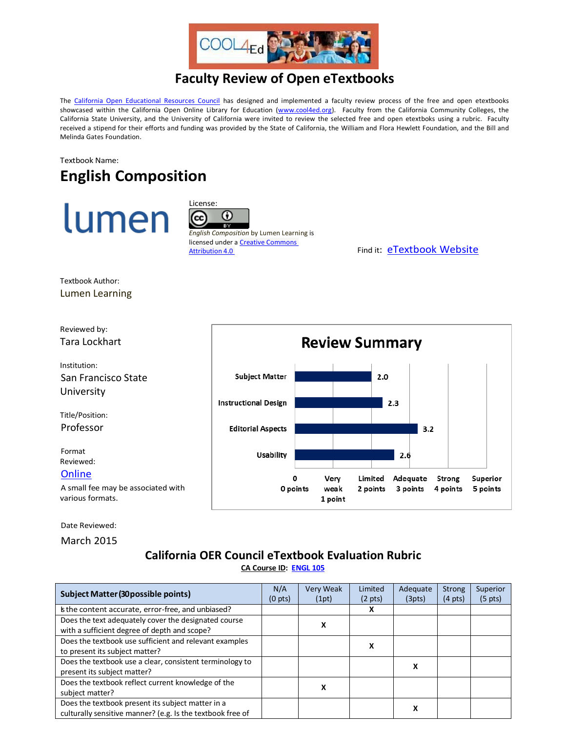

## **Faculty Review of Open eTextbooks**

The [California Open Educational Resources Council](http://icas-ca.org/coerc) has designed and implemented a faculty review process of the free and open etextbooks showcased within the California Open Online Library for Education [\(www.cool4ed.org\)](http://www.cool4ed.org/). Faculty from the California Community Colleges, the California State University, and the University of California were invited to review the selected free and open etextboks using a rubric. Faculty received a stipend for their efforts and funding was provided by the State of California, the William and Flora Hewlett Foundation, and the Bill and Melinda Gates Foundation.

## Textbook Name: **English Composition**





*English Composition* by Lumen Learning is licensed under a **Creative Commons** [Attribution 4.0](http://creativecommons.org/licenses/by/4.0/) **CONSERVING THE EXT ATTENT** Find it: **[eTextbook Website](https://courses.lumenlearning.com/englishcomp1v2xmaster/)** 

Textbook Author: Lumen Learning



Date Reviewed:

March 2015

## **California OER Council eTextbook Evaluation Rubric [CA Course ID:](https://c-id.net/about.html) [ENGL 105](https://c-id.net/descriptor_details.html?descriptor=307)**

| <b>Subject Matter (30 possible points)</b>                                                                      | N/A<br>(0 <sub>pts</sub> ) | Very Weak<br>(1pt) | Limited<br>$(2 \text{ pts})$ | Adequate<br>(3pts) | Strong<br>$(4 \text{ pts})$ | Superior<br>$(5 \text{ pts})$ |
|-----------------------------------------------------------------------------------------------------------------|----------------------------|--------------------|------------------------------|--------------------|-----------------------------|-------------------------------|
| is the content accurate, error-free, and unbiased?                                                              |                            |                    | x                            |                    |                             |                               |
| Does the text adequately cover the designated course<br>with a sufficient degree of depth and scope?            |                            | x                  |                              |                    |                             |                               |
| Does the textbook use sufficient and relevant examples<br>to present its subject matter?                        |                            |                    | x                            |                    |                             |                               |
| Does the textbook use a clear, consistent terminology to<br>present its subject matter?                         |                            |                    |                              | л                  |                             |                               |
| Does the textbook reflect current knowledge of the<br>subject matter?                                           |                            | x                  |                              |                    |                             |                               |
| Does the textbook present its subject matter in a<br>culturally sensitive manner? (e.g. Is the textbook free of |                            |                    |                              | x                  |                             |                               |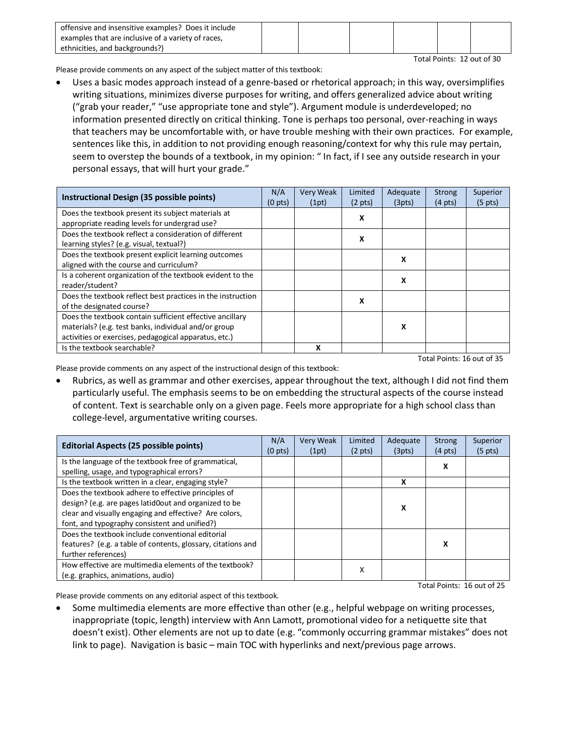| offensive and insensitive examples? Does it include |  |  |  |
|-----------------------------------------------------|--|--|--|
| examples that are inclusive of a variety of races,  |  |  |  |
| ethnicities, and backgrounds?)                      |  |  |  |

Total Points: 12 out of 30

Please provide comments on any aspect of the subject matter of this textbook:

• Uses a basic modes approach instead of a genre-based or rhetorical approach; in this way, oversimplifies writing situations, minimizes diverse purposes for writing, and offers generalized advice about writing ("grab your reader," "use appropriate tone and style"). Argument module is underdeveloped; no information presented directly on critical thinking. Tone is perhaps too personal, over-reaching in ways that teachers may be uncomfortable with, or have trouble meshing with their own practices. For example, sentences like this, in addition to not providing enough reasoning/context for why this rule may pertain, seem to overstep the bounds of a textbook, in my opinion: " In fact, if I see any outside research in your personal essays, that will hurt your grade."

| Instructional Design (35 possible points)                   | N/A<br>(0 <sub>pts</sub> ) | Very Weak<br>(1pt) | Limited<br>$(2 \text{ pts})$ | Adequate<br>(3pts) | <b>Strong</b><br>$(4 \text{ pts})$ | Superior<br>$(5 \text{ pts})$ |
|-------------------------------------------------------------|----------------------------|--------------------|------------------------------|--------------------|------------------------------------|-------------------------------|
| Does the textbook present its subject materials at          |                            |                    | X                            |                    |                                    |                               |
| appropriate reading levels for undergrad use?               |                            |                    |                              |                    |                                    |                               |
| Does the textbook reflect a consideration of different      |                            |                    | х                            |                    |                                    |                               |
| learning styles? (e.g. visual, textual?)                    |                            |                    |                              |                    |                                    |                               |
| Does the textbook present explicit learning outcomes        |                            |                    |                              | x                  |                                    |                               |
| aligned with the course and curriculum?                     |                            |                    |                              |                    |                                    |                               |
| Is a coherent organization of the textbook evident to the   |                            |                    |                              | X                  |                                    |                               |
| reader/student?                                             |                            |                    |                              |                    |                                    |                               |
| Does the textbook reflect best practices in the instruction |                            |                    | X                            |                    |                                    |                               |
| of the designated course?                                   |                            |                    |                              |                    |                                    |                               |
| Does the textbook contain sufficient effective ancillary    |                            |                    |                              |                    |                                    |                               |
| materials? (e.g. test banks, individual and/or group        |                            |                    |                              | x                  |                                    |                               |
| activities or exercises, pedagogical apparatus, etc.)       |                            |                    |                              |                    |                                    |                               |
| Is the textbook searchable?                                 |                            | x                  |                              |                    |                                    |                               |

Total Points: 16 out of 35

Please provide comments on any aspect of the instructional design of this textbook:

Rubrics, as well as grammar and other exercises, appear throughout the text, although I did not find them particularly useful. The emphasis seems to be on embedding the structural aspects of the course instead of content. Text is searchable only on a given page. Feels more appropriate for a high school class than college-level, argumentative writing courses.

| Editorial Aspects (25 possible points)                                                                                                                                                                                  | N/A<br>(0 <sub>pts</sub> ) | <b>Very Weak</b><br>(1pt) | Limited<br>$(2 \text{ pts})$ | Adequate<br>(3pts) | Strong<br>$(4 \text{ pts})$ | Superior<br>$(5 \text{ pts})$ |
|-------------------------------------------------------------------------------------------------------------------------------------------------------------------------------------------------------------------------|----------------------------|---------------------------|------------------------------|--------------------|-----------------------------|-------------------------------|
| Is the language of the textbook free of grammatical,<br>spelling, usage, and typographical errors?                                                                                                                      |                            |                           |                              |                    | x                           |                               |
| Is the textbook written in a clear, engaging style?                                                                                                                                                                     |                            |                           |                              | x                  |                             |                               |
| Does the textbook adhere to effective principles of<br>design? (e.g. are pages latid0out and organized to be<br>clear and visually engaging and effective? Are colors,<br>font, and typography consistent and unified?) |                            |                           |                              | х                  |                             |                               |
| Does the textbook include conventional editorial<br>features? (e.g. a table of contents, glossary, citations and<br>further references)                                                                                 |                            |                           |                              |                    | x                           |                               |
| How effective are multimedia elements of the textbook?<br>(e.g. graphics, animations, audio)                                                                                                                            |                            |                           | х                            |                    |                             |                               |

Total Points: 16 out of 25

Please provide comments on any editorial aspect of this textbook.

• Some multimedia elements are more effective than other (e.g., helpful webpage on writing processes, inappropriate (topic, length) interview with Ann Lamott, promotional video for a netiquette site that doesn't exist). Other elements are not up to date (e.g. "commonly occurring grammar mistakes" does not link to page). Navigation is basic – main TOC with hyperlinks and next/previous page arrows.